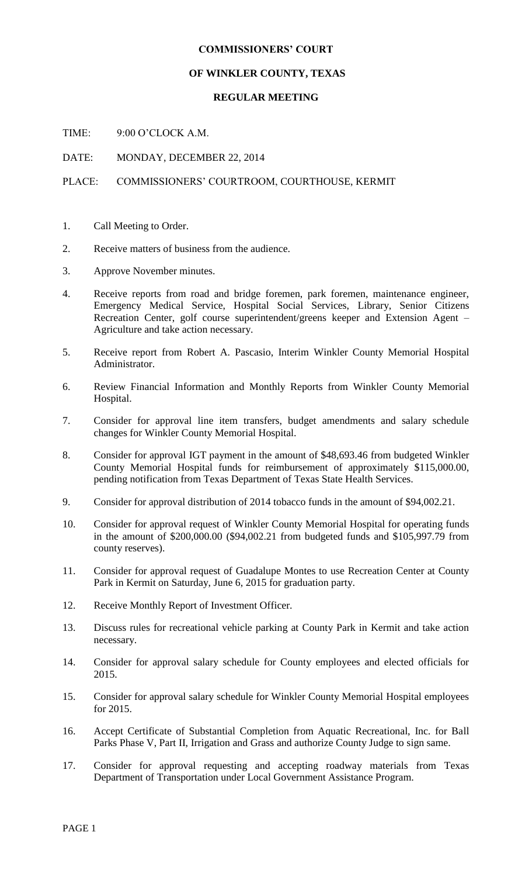## **COMMISSIONERS' COURT**

## **OF WINKLER COUNTY, TEXAS**

## **REGULAR MEETING**

TIME: 9:00 O'CLOCK A.M.

DATE: MONDAY, DECEMBER 22, 2014

## PLACE: COMMISSIONERS' COURTROOM, COURTHOUSE, KERMIT

- 1. Call Meeting to Order.
- 2. Receive matters of business from the audience.
- 3. Approve November minutes.
- 4. Receive reports from road and bridge foremen, park foremen, maintenance engineer, Emergency Medical Service, Hospital Social Services, Library, Senior Citizens Recreation Center, golf course superintendent/greens keeper and Extension Agent – Agriculture and take action necessary.
- 5. Receive report from Robert A. Pascasio, Interim Winkler County Memorial Hospital Administrator.
- 6. Review Financial Information and Monthly Reports from Winkler County Memorial Hospital.
- 7. Consider for approval line item transfers, budget amendments and salary schedule changes for Winkler County Memorial Hospital.
- 8. Consider for approval IGT payment in the amount of \$48,693.46 from budgeted Winkler County Memorial Hospital funds for reimbursement of approximately \$115,000.00, pending notification from Texas Department of Texas State Health Services.
- 9. Consider for approval distribution of 2014 tobacco funds in the amount of \$94,002.21.
- 10. Consider for approval request of Winkler County Memorial Hospital for operating funds in the amount of \$200,000.00 (\$94,002.21 from budgeted funds and \$105,997.79 from county reserves).
- 11. Consider for approval request of Guadalupe Montes to use Recreation Center at County Park in Kermit on Saturday, June 6, 2015 for graduation party.
- 12. Receive Monthly Report of Investment Officer.
- 13. Discuss rules for recreational vehicle parking at County Park in Kermit and take action necessary.
- 14. Consider for approval salary schedule for County employees and elected officials for 2015.
- 15. Consider for approval salary schedule for Winkler County Memorial Hospital employees for 2015.
- 16. Accept Certificate of Substantial Completion from Aquatic Recreational, Inc. for Ball Parks Phase V, Part II, Irrigation and Grass and authorize County Judge to sign same.
- 17. Consider for approval requesting and accepting roadway materials from Texas Department of Transportation under Local Government Assistance Program.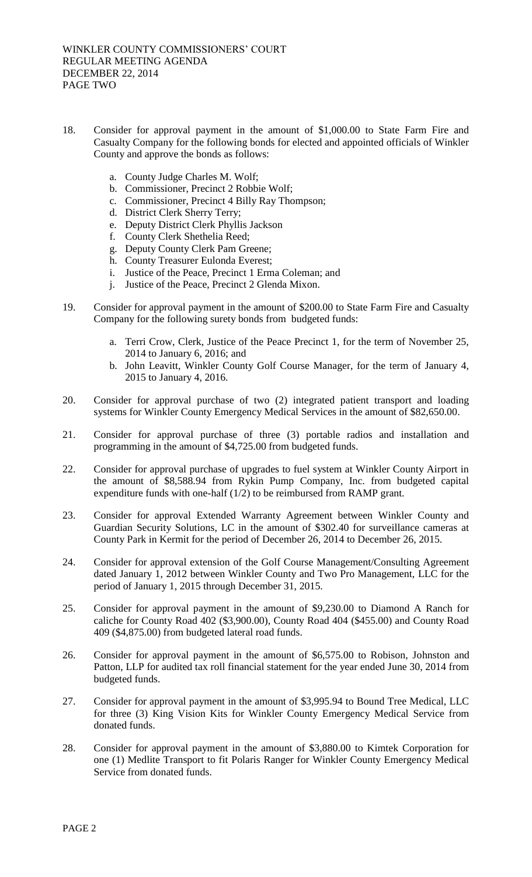- 18. Consider for approval payment in the amount of \$1,000.00 to State Farm Fire and Casualty Company for the following bonds for elected and appointed officials of Winkler County and approve the bonds as follows:
	- a. County Judge Charles M. Wolf;
	- b. Commissioner, Precinct 2 Robbie Wolf;
	- c. Commissioner, Precinct 4 Billy Ray Thompson;
	- d. District Clerk Sherry Terry;
	- e. Deputy District Clerk Phyllis Jackson
	- f. County Clerk Shethelia Reed;
	- g. Deputy County Clerk Pam Greene;
	- h. County Treasurer Eulonda Everest;
	- i. Justice of the Peace, Precinct 1 Erma Coleman; and
	- j. Justice of the Peace, Precinct 2 Glenda Mixon.
- 19. Consider for approval payment in the amount of \$200.00 to State Farm Fire and Casualty Company for the following surety bonds from budgeted funds:
	- a. Terri Crow, Clerk, Justice of the Peace Precinct 1, for the term of November 25, 2014 to January 6, 2016; and
	- b. John Leavitt, Winkler County Golf Course Manager, for the term of January 4, 2015 to January 4, 2016.
- 20. Consider for approval purchase of two (2) integrated patient transport and loading systems for Winkler County Emergency Medical Services in the amount of \$82,650.00.
- 21. Consider for approval purchase of three (3) portable radios and installation and programming in the amount of \$4,725.00 from budgeted funds.
- 22. Consider for approval purchase of upgrades to fuel system at Winkler County Airport in the amount of \$8,588.94 from Rykin Pump Company, Inc. from budgeted capital expenditure funds with one-half (1/2) to be reimbursed from RAMP grant.
- 23. Consider for approval Extended Warranty Agreement between Winkler County and Guardian Security Solutions, LC in the amount of \$302.40 for surveillance cameras at County Park in Kermit for the period of December 26, 2014 to December 26, 2015.
- 24. Consider for approval extension of the Golf Course Management/Consulting Agreement dated January 1, 2012 between Winkler County and Two Pro Management, LLC for the period of January 1, 2015 through December 31, 2015.
- 25. Consider for approval payment in the amount of \$9,230.00 to Diamond A Ranch for caliche for County Road 402 (\$3,900.00), County Road 404 (\$455.00) and County Road 409 (\$4,875.00) from budgeted lateral road funds.
- 26. Consider for approval payment in the amount of \$6,575.00 to Robison, Johnston and Patton, LLP for audited tax roll financial statement for the year ended June 30, 2014 from budgeted funds.
- 27. Consider for approval payment in the amount of \$3,995.94 to Bound Tree Medical, LLC for three (3) King Vision Kits for Winkler County Emergency Medical Service from donated funds.
- 28. Consider for approval payment in the amount of \$3,880.00 to Kimtek Corporation for one (1) Medlite Transport to fit Polaris Ranger for Winkler County Emergency Medical Service from donated funds.